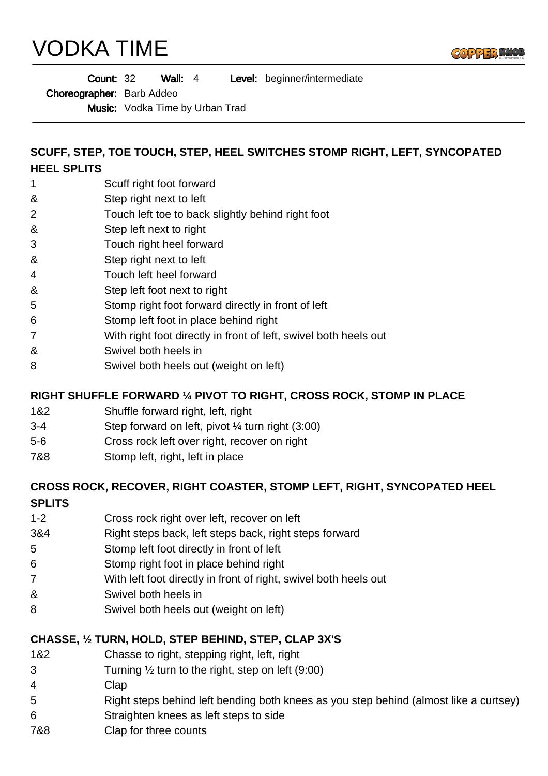# VODKA TIME



| <b>Count: 32</b> | Wall: $4$ | Level: beginner/intermediate |  |
|------------------|-----------|------------------------------|--|
|------------------|-----------|------------------------------|--|

Choreographer: Barb Addeo

Music: Vodka Time by Urban Trad

#### **SCUFF, STEP, TOE TOUCH, STEP, HEEL SWITCHES STOMP RIGHT, LEFT, SYNCOPATED HEEL SPLITS**

- 1 Scuff right foot forward
- & Step right next to left
- 2 Touch left toe to back slightly behind right foot
- & Step left next to right
- 3 Touch right heel forward
- & Step right next to left
- 4 Touch left heel forward
- & Step left foot next to right
- 5 Stomp right foot forward directly in front of left
- 6 Stomp left foot in place behind right
- 7 With right foot directly in front of left, swivel both heels out
- & Swivel both heels in
- 8 Swivel both heels out (weight on left)

#### **RIGHT SHUFFLE FORWARD ¼ PIVOT TO RIGHT, CROSS ROCK, STOMP IN PLACE**

- 1&2 Shuffle forward right, left, right
- 3-4 Step forward on left, pivot ¼ turn right (3:00)
- 5-6 Cross rock left over right, recover on right
- 7&8 Stomp left, right, left in place

# **CROSS ROCK, RECOVER, RIGHT COASTER, STOMP LEFT, RIGHT, SYNCOPATED HEEL**

#### **SPLITS**

- 1-2 Cross rock right over left, recover on left
- 3&4 Right steps back, left steps back, right steps forward
- 5 Stomp left foot directly in front of left
- 6 Stomp right foot in place behind right
- 7 With left foot directly in front of right, swivel both heels out
- & Swivel both heels in
- 8 Swivel both heels out (weight on left)

#### **CHASSE, ½ TURN, HOLD, STEP BEHIND, STEP, CLAP 3X'S**

- 1&2 Chasse to right, stepping right, left, right
- 3 Turning ½ turn to the right, step on left (9:00)
- 4 Clap
- 5 Right steps behind left bending both knees as you step behind (almost like a curtsey)
- 6 Straighten knees as left steps to side
- 7&8 Clap for three counts